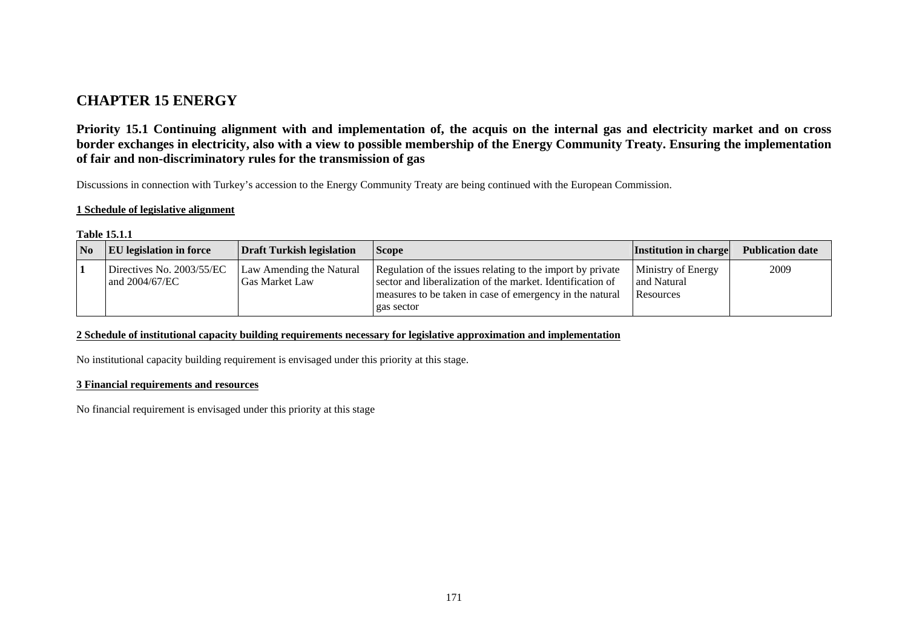# **CHAPTER 15 ENERGY**

**Priority 15.1 Continuing alignment with and implementation of, the acquis on the internal gas and electricity market and on cross border exchanges in electricity, also with a view to possible membership of the Energy Community Treaty. Ensuring the implementation of fair and non-discriminatory rules for the transmission of gas** 

Discussions in connection with Turkey's accession to the Energy Community Treaty are being continued with the European Commission.

### **1 Schedule of legislative alignment**

#### **Table 15.1.1**

| <b>No</b> | <b>EU</b> legislation in force              | Draft Turkish legislation                         | <b>Scope</b>                                                                                                                                                                                       | <b>Institution in charge</b>                   | <b>Publication date</b> |
|-----------|---------------------------------------------|---------------------------------------------------|----------------------------------------------------------------------------------------------------------------------------------------------------------------------------------------------------|------------------------------------------------|-------------------------|
|           | Directives No. 2003/55/EC<br>and 2004/67/EC | Law Amending the Natural<br><b>Gas Market Law</b> | Regulation of the issues relating to the import by private<br>sector and liberalization of the market. Identification of<br>measures to be taken in case of emergency in the natural<br>gas sector | Ministry of Energy<br>and Natural<br>Resources | 2009                    |

#### **2 Schedule of institutional capacity building requirements necessary for legislative approximation and implementation**

No institutional capacity building requirement is envisaged under this priority at this stage.

#### **3 Financial requirements and resources**

No financial requirement is envisaged under this priority at this stage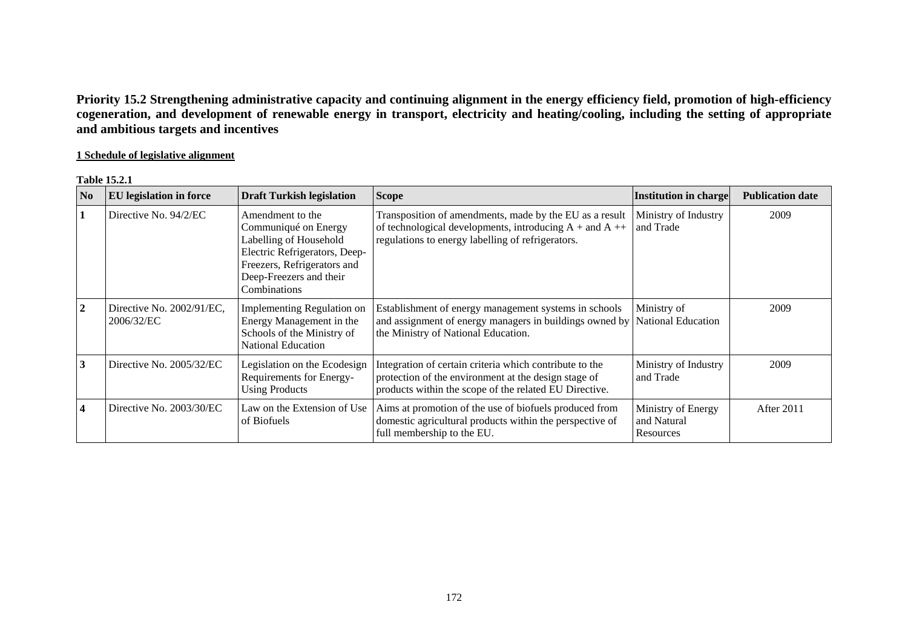**Priority 15.2 Strengthening administrative capacity and continuing alignment in the energy efficiency field, promotion of high-efficiency cogeneration, and development of renewable energy in transport, electricity and heating/cooling, including the setting of appropriate and ambitious targets and incentives** 

## **1 Schedule of legislative alignment**

#### **Table 15.2.1**

| $\bf No$       | <b>EU</b> legislation in force          | <b>Draft Turkish legislation</b>                                                                                                                                              | <b>Scope</b>                                                                                                                                                              | <b>Institution in charge</b>                   | <b>Publication date</b> |
|----------------|-----------------------------------------|-------------------------------------------------------------------------------------------------------------------------------------------------------------------------------|---------------------------------------------------------------------------------------------------------------------------------------------------------------------------|------------------------------------------------|-------------------------|
|                | Directive No. 94/2/EC                   | Amendment to the<br>Communiqué on Energy<br>Labelling of Household<br>Electric Refrigerators, Deep-<br>Freezers, Refrigerators and<br>Deep-Freezers and their<br>Combinations | Transposition of amendments, made by the EU as a result<br>of technological developments, introducing $A + and A +$<br>regulations to energy labelling of refrigerators.  | Ministry of Industry<br>and Trade              | 2009                    |
| $\overline{2}$ | Directive No. 2002/91/EC,<br>2006/32/EC | Implementing Regulation on<br>Energy Management in the<br>Schools of the Ministry of<br><b>National Education</b>                                                             | Establishment of energy management systems in schools<br>and assignment of energy managers in buildings owned by<br>the Ministry of National Education.                   | Ministry of<br><b>National Education</b>       | 2009                    |
| 3              | Directive No. 2005/32/EC                | Legislation on the Ecodesign<br>Requirements for Energy-<br><b>Using Products</b>                                                                                             | Integration of certain criteria which contribute to the<br>protection of the environment at the design stage of<br>products within the scope of the related EU Directive. | Ministry of Industry<br>and Trade              | 2009                    |
| $\overline{4}$ | Directive No. 2003/30/EC                | Law on the Extension of Use<br>of Biofuels                                                                                                                                    | Aims at promotion of the use of biofuels produced from<br>domestic agricultural products within the perspective of<br>full membership to the EU.                          | Ministry of Energy<br>and Natural<br>Resources | After 2011              |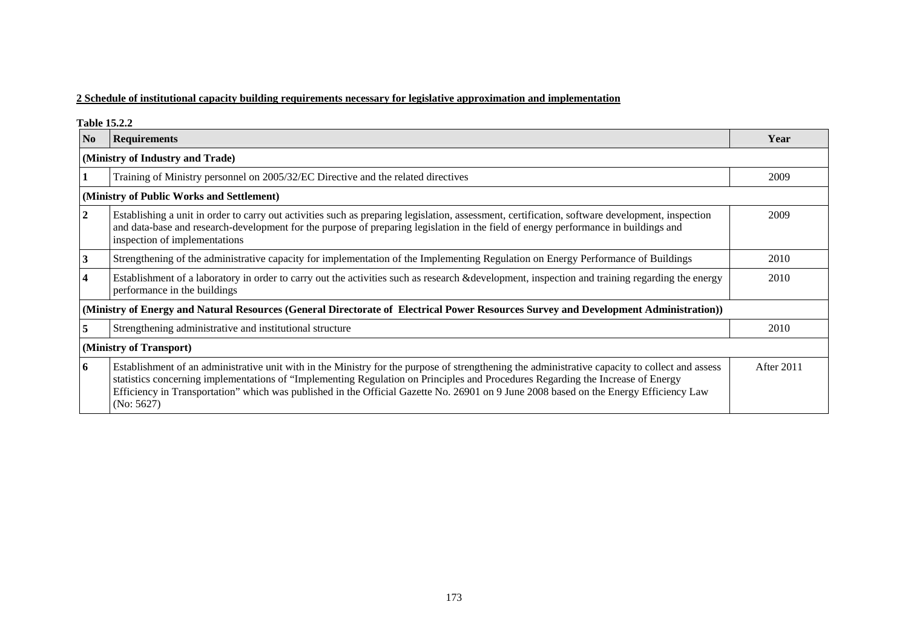## **2 Schedule of institutional capacity building requirements necessary for legislative approximation and implementation**

**Table 15.2.2** 

| N <sub>0</sub>                   | <b>Requirements</b>                                                                                                                                                                                                                                                                                                                                                                                                                       | Year       |  |  |  |
|----------------------------------|-------------------------------------------------------------------------------------------------------------------------------------------------------------------------------------------------------------------------------------------------------------------------------------------------------------------------------------------------------------------------------------------------------------------------------------------|------------|--|--|--|
| (Ministry of Industry and Trade) |                                                                                                                                                                                                                                                                                                                                                                                                                                           |            |  |  |  |
|                                  | Training of Ministry personnel on 2005/32/EC Directive and the related directives                                                                                                                                                                                                                                                                                                                                                         | 2009       |  |  |  |
|                                  | (Ministry of Public Works and Settlement)                                                                                                                                                                                                                                                                                                                                                                                                 |            |  |  |  |
| $\overline{2}$                   | Establishing a unit in order to carry out activities such as preparing legislation, assessment, certification, software development, inspection<br>and data-base and research-development for the purpose of preparing legislation in the field of energy performance in buildings and<br>inspection of implementations                                                                                                                   | 2009       |  |  |  |
| 3                                | Strengthening of the administrative capacity for implementation of the Implementing Regulation on Energy Performance of Buildings                                                                                                                                                                                                                                                                                                         | 2010       |  |  |  |
| 4                                | Establishment of a laboratory in order to carry out the activities such as research &development, inspection and training regarding the energy<br>performance in the buildings                                                                                                                                                                                                                                                            | 2010       |  |  |  |
|                                  | (Ministry of Energy and Natural Resources (General Directorate of Electrical Power Resources Survey and Development Administration))                                                                                                                                                                                                                                                                                                      |            |  |  |  |
|                                  | Strengthening administrative and institutional structure                                                                                                                                                                                                                                                                                                                                                                                  | 2010       |  |  |  |
|                                  | (Ministry of Transport)                                                                                                                                                                                                                                                                                                                                                                                                                   |            |  |  |  |
| 6                                | Establishment of an administrative unit with in the Ministry for the purpose of strengthening the administrative capacity to collect and assess<br>statistics concerning implementations of "Implementing Regulation on Principles and Procedures Regarding the Increase of Energy<br>Efficiency in Transportation" which was published in the Official Gazette No. 26901 on 9 June 2008 based on the Energy Efficiency Law<br>(No: 5627) | After 2011 |  |  |  |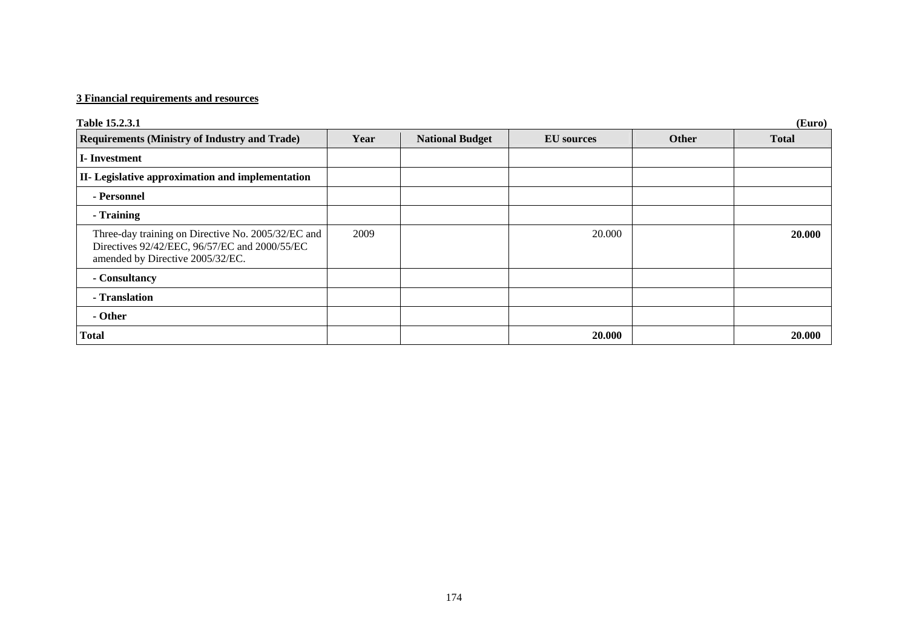## **3 Financial requirements and resources**

| Table 15.2.3.1                                                                                                                          | (Euro) |                        |                   |       |              |  |  |
|-----------------------------------------------------------------------------------------------------------------------------------------|--------|------------------------|-------------------|-------|--------------|--|--|
| <b>Requirements (Ministry of Industry and Trade)</b>                                                                                    | Year   | <b>National Budget</b> | <b>EU</b> sources | Other | <b>Total</b> |  |  |
| <b>I</b> -Investment                                                                                                                    |        |                        |                   |       |              |  |  |
| II- Legislative approximation and implementation                                                                                        |        |                        |                   |       |              |  |  |
| - Personnel                                                                                                                             |        |                        |                   |       |              |  |  |
| - Training                                                                                                                              |        |                        |                   |       |              |  |  |
| Three-day training on Directive No. 2005/32/EC and<br>Directives 92/42/EEC, 96/57/EC and 2000/55/EC<br>amended by Directive 2005/32/EC. | 2009   |                        | 20.000            |       | 20.000       |  |  |
| - Consultancy                                                                                                                           |        |                        |                   |       |              |  |  |
| - Translation                                                                                                                           |        |                        |                   |       |              |  |  |
| - Other                                                                                                                                 |        |                        |                   |       |              |  |  |
| <b>Total</b>                                                                                                                            |        |                        | 20.000            |       | 20.000       |  |  |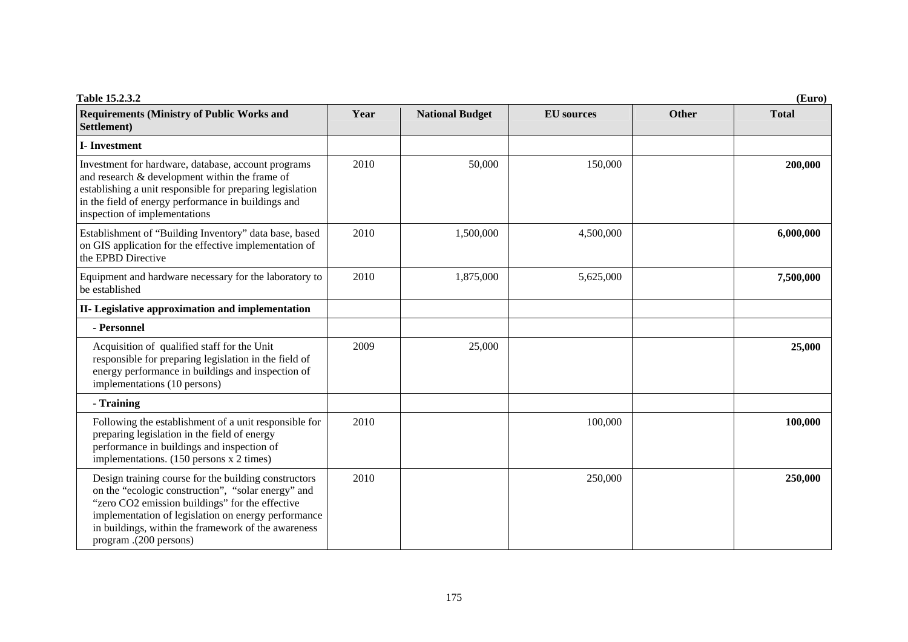| Table 15.2.3.2                                                                                                                                                                                                                                                                                        |      |                        |                   |              | (Euro)       |
|-------------------------------------------------------------------------------------------------------------------------------------------------------------------------------------------------------------------------------------------------------------------------------------------------------|------|------------------------|-------------------|--------------|--------------|
| <b>Requirements (Ministry of Public Works and</b><br>Settlement)                                                                                                                                                                                                                                      | Year | <b>National Budget</b> | <b>EU</b> sources | <b>Other</b> | <b>Total</b> |
| <b>I</b> -Investment                                                                                                                                                                                                                                                                                  |      |                        |                   |              |              |
| Investment for hardware, database, account programs<br>and research $&$ development within the frame of<br>establishing a unit responsible for preparing legislation<br>in the field of energy performance in buildings and<br>inspection of implementations                                          | 2010 | 50,000                 | 150,000           |              | 200,000      |
| Establishment of "Building Inventory" data base, based<br>on GIS application for the effective implementation of<br>the EPBD Directive                                                                                                                                                                | 2010 | 1,500,000              | 4,500,000         |              | 6,000,000    |
| Equipment and hardware necessary for the laboratory to<br>be established                                                                                                                                                                                                                              | 2010 | 1,875,000              | 5,625,000         |              | 7,500,000    |
| II- Legislative approximation and implementation                                                                                                                                                                                                                                                      |      |                        |                   |              |              |
| - Personnel                                                                                                                                                                                                                                                                                           |      |                        |                   |              |              |
| Acquisition of qualified staff for the Unit<br>responsible for preparing legislation in the field of<br>energy performance in buildings and inspection of<br>implementations (10 persons)                                                                                                             | 2009 | 25,000                 |                   |              | 25,000       |
| - Training                                                                                                                                                                                                                                                                                            |      |                        |                   |              |              |
| Following the establishment of a unit responsible for<br>preparing legislation in the field of energy<br>performance in buildings and inspection of<br>implementations. (150 persons x 2 times)                                                                                                       | 2010 |                        | 100,000           |              | 100,000      |
| Design training course for the building constructors<br>on the "ecologic construction", "solar energy" and<br>"zero CO2 emission buildings" for the effective<br>implementation of legislation on energy performance<br>in buildings, within the framework of the awareness<br>program .(200 persons) | 2010 |                        | 250,000           |              | 250,000      |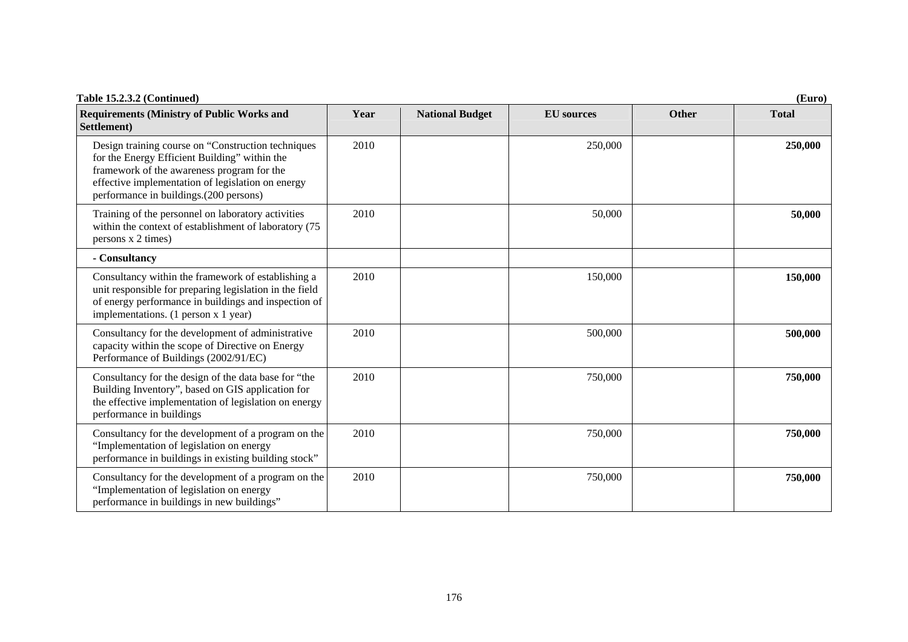| Table 15.2.3.2 (Continued)<br>(Euro)                                                                                                                                                                                                             |      |                        |                   |              |              |
|--------------------------------------------------------------------------------------------------------------------------------------------------------------------------------------------------------------------------------------------------|------|------------------------|-------------------|--------------|--------------|
| <b>Requirements (Ministry of Public Works and</b><br>Settlement)                                                                                                                                                                                 | Year | <b>National Budget</b> | <b>EU</b> sources | <b>Other</b> | <b>Total</b> |
| Design training course on "Construction techniques<br>for the Energy Efficient Building" within the<br>framework of the awareness program for the<br>effective implementation of legislation on energy<br>performance in buildings.(200 persons) | 2010 |                        | 250,000           |              | 250,000      |
| Training of the personnel on laboratory activities<br>within the context of establishment of laboratory (75<br>persons x 2 times)                                                                                                                | 2010 |                        | 50,000            |              | 50,000       |
| - Consultancy                                                                                                                                                                                                                                    |      |                        |                   |              |              |
| Consultancy within the framework of establishing a<br>unit responsible for preparing legislation in the field<br>of energy performance in buildings and inspection of<br>implementations. (1 person x 1 year)                                    | 2010 |                        | 150,000           |              | 150,000      |
| Consultancy for the development of administrative<br>capacity within the scope of Directive on Energy<br>Performance of Buildings (2002/91/EC)                                                                                                   | 2010 |                        | 500,000           |              | 500,000      |
| Consultancy for the design of the data base for "the<br>Building Inventory", based on GIS application for<br>the effective implementation of legislation on energy<br>performance in buildings                                                   | 2010 |                        | 750,000           |              | 750,000      |
| Consultancy for the development of a program on the<br>"Implementation of legislation on energy<br>performance in buildings in existing building stock"                                                                                          | 2010 |                        | 750,000           |              | 750,000      |
| Consultancy for the development of a program on the<br>"Implementation of legislation on energy<br>performance in buildings in new buildings"                                                                                                    | 2010 |                        | 750,000           |              | 750,000      |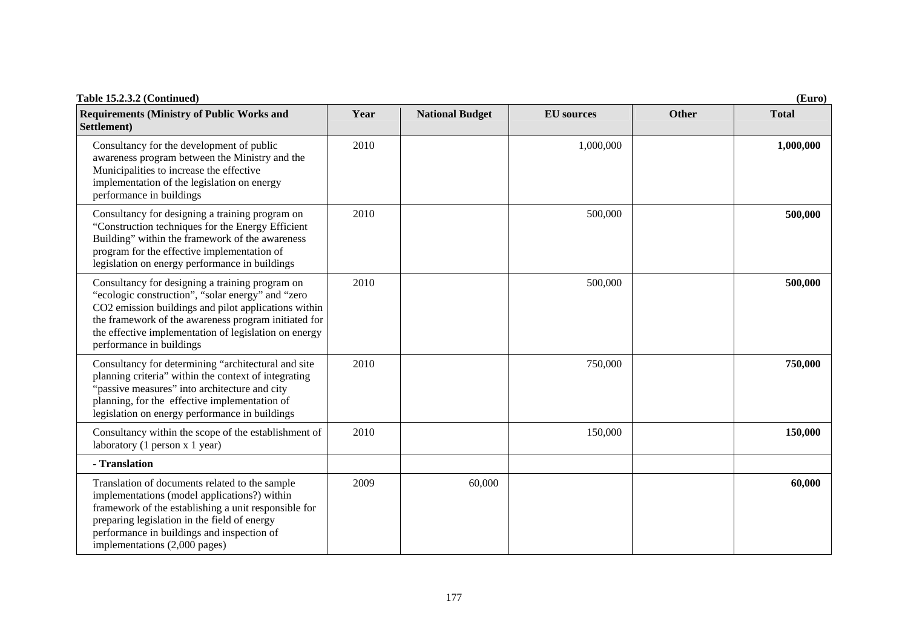| Table 15.2.3.2 (Continued)<br>(Euro)                                                                                                                                                                                                                                                                      |      |                        |                   |              |              |
|-----------------------------------------------------------------------------------------------------------------------------------------------------------------------------------------------------------------------------------------------------------------------------------------------------------|------|------------------------|-------------------|--------------|--------------|
| <b>Requirements (Ministry of Public Works and</b><br>Settlement)                                                                                                                                                                                                                                          | Year | <b>National Budget</b> | <b>EU</b> sources | <b>Other</b> | <b>Total</b> |
| Consultancy for the development of public<br>awareness program between the Ministry and the<br>Municipalities to increase the effective<br>implementation of the legislation on energy<br>performance in buildings                                                                                        | 2010 |                        | 1,000,000         |              | 1,000,000    |
| Consultancy for designing a training program on<br>"Construction techniques for the Energy Efficient<br>Building" within the framework of the awareness<br>program for the effective implementation of<br>legislation on energy performance in buildings                                                  | 2010 |                        | 500,000           |              | 500,000      |
| Consultancy for designing a training program on<br>"ecologic construction", "solar energy" and "zero<br>CO2 emission buildings and pilot applications within<br>the framework of the awareness program initiated for<br>the effective implementation of legislation on energy<br>performance in buildings | 2010 |                        | 500,000           |              | 500,000      |
| Consultancy for determining "architectural and site<br>planning criteria" within the context of integrating<br>"passive measures" into architecture and city<br>planning, for the effective implementation of<br>legislation on energy performance in buildings                                           | 2010 |                        | 750,000           |              | 750,000      |
| Consultancy within the scope of the establishment of<br>laboratory (1 person $x$ 1 year)                                                                                                                                                                                                                  | 2010 |                        | 150,000           |              | 150,000      |
| - Translation                                                                                                                                                                                                                                                                                             |      |                        |                   |              |              |
| Translation of documents related to the sample<br>implementations (model applications?) within<br>framework of the establishing a unit responsible for<br>preparing legislation in the field of energy<br>performance in buildings and inspection of<br>implementations (2,000 pages)                     | 2009 | 60,000                 |                   |              | 60,000       |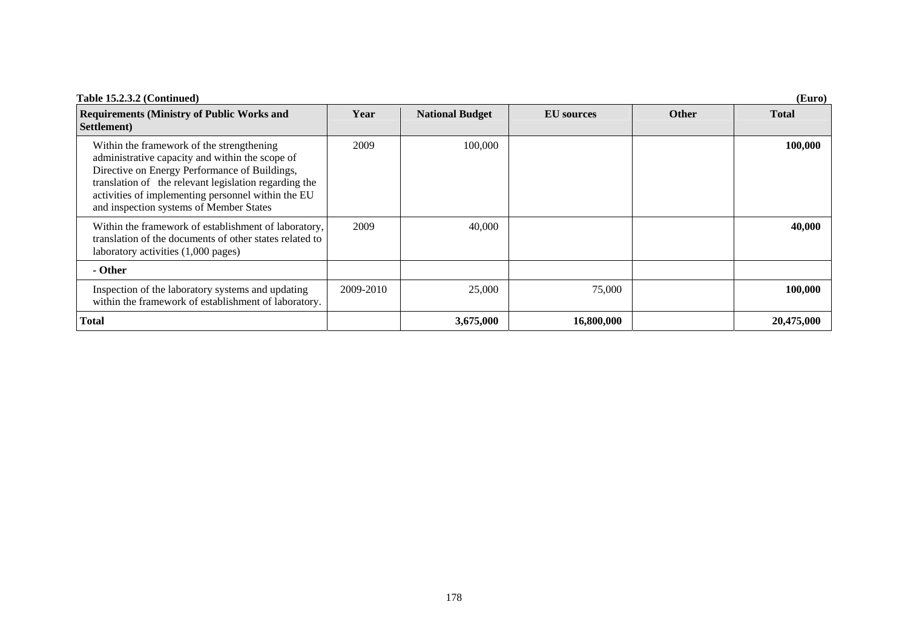| Table 15.2.3.2 (Continued)<br>(Euro)                                                                                                                                                                                                                                                                    |           |                        |                   |              |              |  |
|---------------------------------------------------------------------------------------------------------------------------------------------------------------------------------------------------------------------------------------------------------------------------------------------------------|-----------|------------------------|-------------------|--------------|--------------|--|
| <b>Requirements (Ministry of Public Works and</b><br>Settlement)                                                                                                                                                                                                                                        | Year      | <b>National Budget</b> | <b>EU</b> sources | <b>Other</b> | <b>Total</b> |  |
| Within the framework of the strengthening<br>administrative capacity and within the scope of<br>Directive on Energy Performance of Buildings,<br>translation of the relevant legislation regarding the<br>activities of implementing personnel within the EU<br>and inspection systems of Member States | 2009      | 100,000                |                   |              | 100,000      |  |
| Within the framework of establishment of laboratory,<br>translation of the documents of other states related to<br>laboratory activities (1,000 pages)                                                                                                                                                  | 2009      | 40,000                 |                   |              | 40,000       |  |
| - Other                                                                                                                                                                                                                                                                                                 |           |                        |                   |              |              |  |
| Inspection of the laboratory systems and updating<br>within the framework of establishment of laboratory.                                                                                                                                                                                               | 2009-2010 | 25,000                 | 75,000            |              | 100,000      |  |
| <b>Total</b>                                                                                                                                                                                                                                                                                            |           | 3,675,000              | 16,800,000        |              | 20,475,000   |  |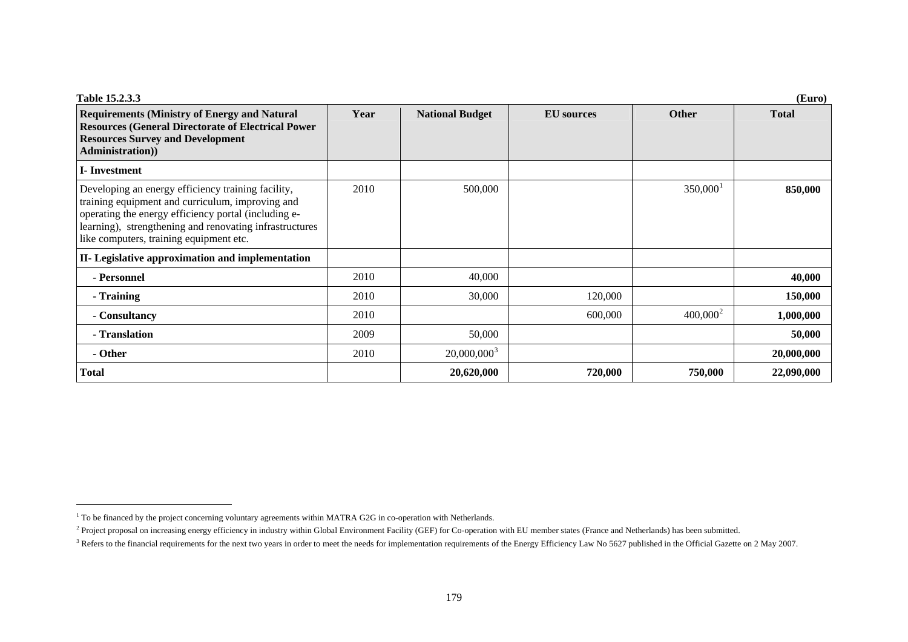| Table 15.2.3.3<br>(Euro)                                                                                                                                                                                                                                             |      |                        |                   |              |              |  |
|----------------------------------------------------------------------------------------------------------------------------------------------------------------------------------------------------------------------------------------------------------------------|------|------------------------|-------------------|--------------|--------------|--|
| <b>Requirements (Ministry of Energy and Natural</b><br><b>Resources (General Directorate of Electrical Power</b><br><b>Resources Survey and Development</b><br>Administration))                                                                                      | Year | <b>National Budget</b> | <b>EU</b> sources | <b>Other</b> | <b>Total</b> |  |
| <b>I</b> -Investment                                                                                                                                                                                                                                                 |      |                        |                   |              |              |  |
| Developing an energy efficiency training facility,<br>training equipment and curriculum, improving and<br>operating the energy efficiency portal (including e-<br>learning), strengthening and renovating infrastructures<br>like computers, training equipment etc. | 2010 | 500,000                |                   | $350,000^1$  | 850,000      |  |
| II- Legislative approximation and implementation                                                                                                                                                                                                                     |      |                        |                   |              |              |  |
| - Personnel                                                                                                                                                                                                                                                          | 2010 | 40,000                 |                   |              | 40,000       |  |
| - Training                                                                                                                                                                                                                                                           | 2010 | 30,000                 | 120,000           |              | 150,000      |  |
| - Consultancy                                                                                                                                                                                                                                                        | 2010 |                        | 600,000           | $400,000^2$  | 1,000,000    |  |
| - Translation                                                                                                                                                                                                                                                        | 2009 | 50,000                 |                   |              | 50,000       |  |
| - Other                                                                                                                                                                                                                                                              | 2010 | $20,000,000^3$         |                   |              | 20,000,000   |  |
| <b>Total</b>                                                                                                                                                                                                                                                         |      | 20,620,000             | 720,000           | 750,000      | 22,090,000   |  |

<span id="page-8-0"></span><sup>&</sup>lt;sup>1</sup> To be financed by the project concerning voluntary agreements within MATRA G2G in co-operation with Netherlands.

<span id="page-8-1"></span><sup>&</sup>lt;sup>2</sup> Project proposal on increasing energy efficiency in industry within Global Environment Facility (GEF) for Co-operation with EU member states (France and Netherlands) has been submitted.

<span id="page-8-2"></span><sup>&</sup>lt;sup>3</sup> Refers to the financial requirements for the next two years in order to meet the needs for implementation requirements of the Energy Efficiency Law No 5627 published in the Official Gazette on 2 May 2007.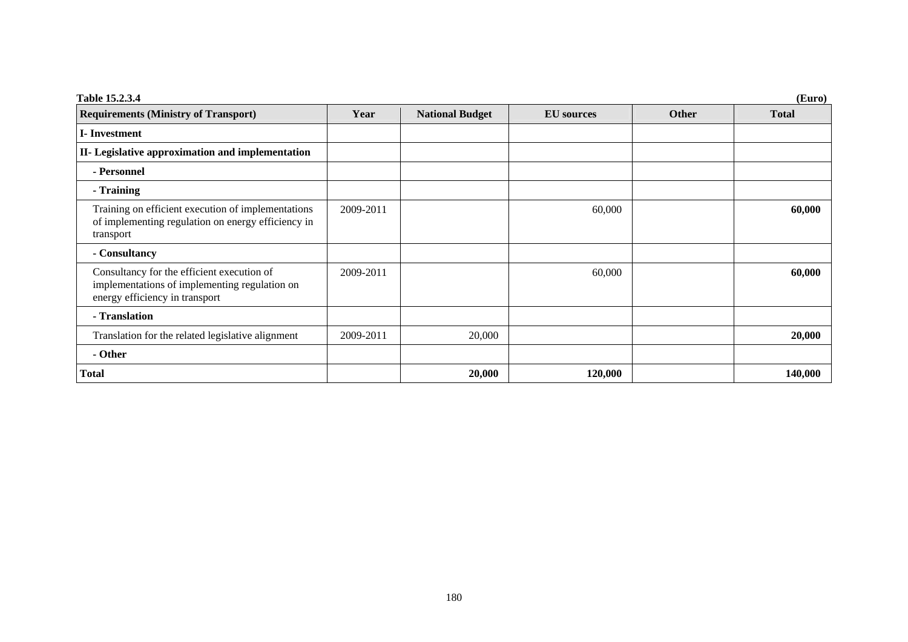| Table 15.2.3.4<br>(Euro)                                                                                                      |           |                        |                   |              |              |  |
|-------------------------------------------------------------------------------------------------------------------------------|-----------|------------------------|-------------------|--------------|--------------|--|
| <b>Requirements (Ministry of Transport)</b>                                                                                   | Year      | <b>National Budget</b> | <b>EU</b> sources | <b>Other</b> | <b>Total</b> |  |
| <b>I</b> -Investment                                                                                                          |           |                        |                   |              |              |  |
| II- Legislative approximation and implementation                                                                              |           |                        |                   |              |              |  |
| - Personnel                                                                                                                   |           |                        |                   |              |              |  |
| - Training                                                                                                                    |           |                        |                   |              |              |  |
| Training on efficient execution of implementations<br>of implementing regulation on energy efficiency in<br>transport         | 2009-2011 |                        | 60,000            |              | 60,000       |  |
| - Consultancy                                                                                                                 |           |                        |                   |              |              |  |
| Consultancy for the efficient execution of<br>implementations of implementing regulation on<br>energy efficiency in transport | 2009-2011 |                        | 60,000            |              | 60,000       |  |
| - Translation                                                                                                                 |           |                        |                   |              |              |  |
| Translation for the related legislative alignment                                                                             | 2009-2011 | 20,000                 |                   |              | 20,000       |  |
| - Other                                                                                                                       |           |                        |                   |              |              |  |
| <b>Total</b>                                                                                                                  |           | 20,000                 | 120,000           |              | 140,000      |  |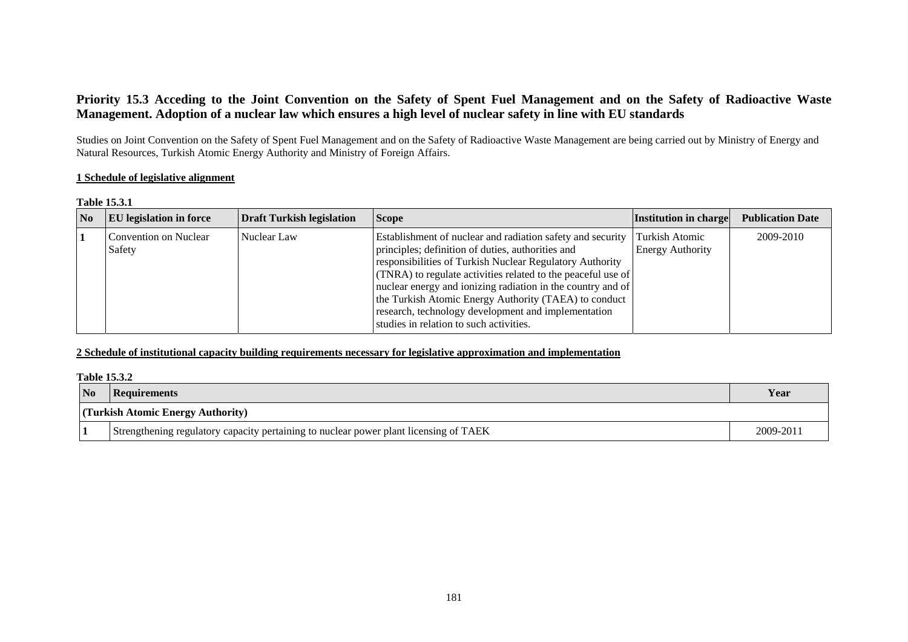## **Priority 15.3 Acceding to the Joint Convention on the Safety of Spent Fuel Management and on the Safety of Radioactive Waste Management. Adoption of a nuclear law which ensures a high level of nuclear safety in line with EU standards**

Studies on Joint Convention on the Safety of Spent Fuel Management and on the Safety of Radioactive Waste Management are being carried out by Ministry of Energy and Natural Resources, Turkish Atomic Energy Authority and Ministry of Foreign Affairs.

#### **1 Schedule of legislative alignment**

#### **Table 15.3.1**

| <b>No</b> | <b>EU</b> legislation in force  | <b>Draft Turkish legislation</b> | <b>Scope</b>                                                                                                                                                                                                                                                                                                                                                                                                                                                                           | <b>Institution in charge</b> | <b>Publication Date</b> |
|-----------|---------------------------------|----------------------------------|----------------------------------------------------------------------------------------------------------------------------------------------------------------------------------------------------------------------------------------------------------------------------------------------------------------------------------------------------------------------------------------------------------------------------------------------------------------------------------------|------------------------------|-------------------------|
|           | Convention on Nuclear<br>Safety | Nuclear Law                      | Establishment of nuclear and radiation safety and security Turkish Atomic<br>principles; definition of duties, authorities and<br>responsibilities of Turkish Nuclear Regulatory Authority<br>$(TNRA)$ to regulate activities related to the peaceful use of<br>nuclear energy and ionizing radiation in the country and of<br>the Turkish Atomic Energy Authority (TAEA) to conduct<br>research, technology development and implementation<br>studies in relation to such activities. | <b>Energy Authority</b>      | 2009-2010               |

## **2 Schedule of institutional capacity building requirements necessary for legislative approximation and implementation**

#### **Table 15.3.2**

| N <sub>0</sub>                    | Requirements                                                                          |  |  |  |  |
|-----------------------------------|---------------------------------------------------------------------------------------|--|--|--|--|
| (Turkish Atomic Energy Authority) |                                                                                       |  |  |  |  |
|                                   | Strengthening regulatory capacity pertaining to nuclear power plant licensing of TAEK |  |  |  |  |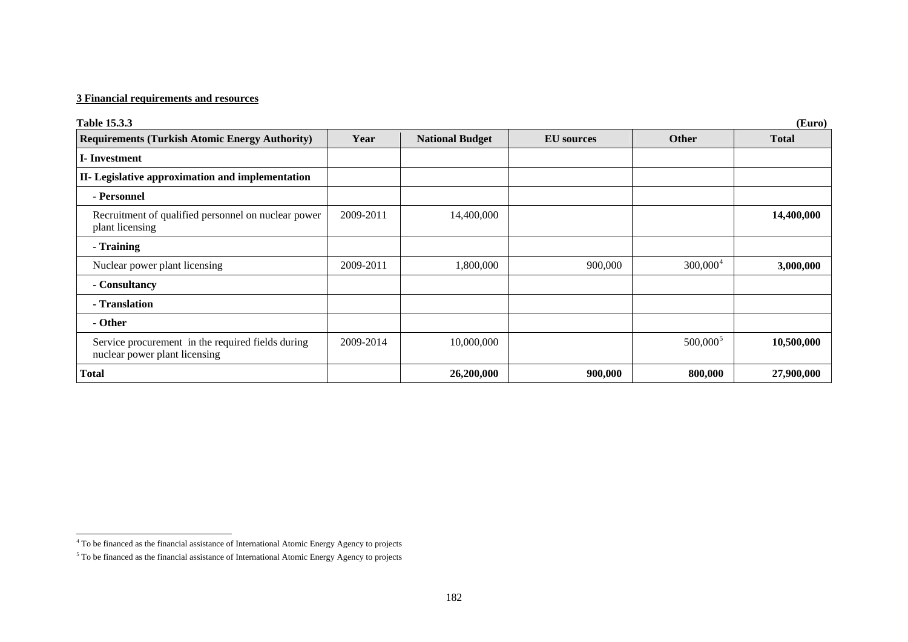## **3 Financial requirements and resources**

| <b>Table 15.3.3</b>                                                                |           |                        |                   |              | (Euro)       |
|------------------------------------------------------------------------------------|-----------|------------------------|-------------------|--------------|--------------|
| <b>Requirements (Turkish Atomic Energy Authority)</b>                              | Year      | <b>National Budget</b> | <b>EU</b> sources | <b>Other</b> | <b>Total</b> |
| <b>I</b> -Investment                                                               |           |                        |                   |              |              |
| II- Legislative approximation and implementation                                   |           |                        |                   |              |              |
| - Personnel                                                                        |           |                        |                   |              |              |
| Recruitment of qualified personnel on nuclear power<br>plant licensing             | 2009-2011 | 14,400,000             |                   |              | 14,400,000   |
| - Training                                                                         |           |                        |                   |              |              |
| Nuclear power plant licensing                                                      | 2009-2011 | 1,800,000              | 900,000           | $300,000^4$  | 3,000,000    |
| - Consultancy                                                                      |           |                        |                   |              |              |
| - Translation                                                                      |           |                        |                   |              |              |
| - Other                                                                            |           |                        |                   |              |              |
| Service procurement in the required fields during<br>nuclear power plant licensing | 2009-2014 | 10,000,000             |                   | $500,000^5$  | 10,500,000   |
| <b>Total</b>                                                                       |           | 26,200,000             | 900,000           | 800,000      | 27,900,000   |

<span id="page-11-0"></span><sup>4</sup> To be financed as the financial assistance of International Atomic Energy Agency to projects

<span id="page-11-1"></span><sup>5</sup> To be financed as the financial assistance of International Atomic Energy Agency to projects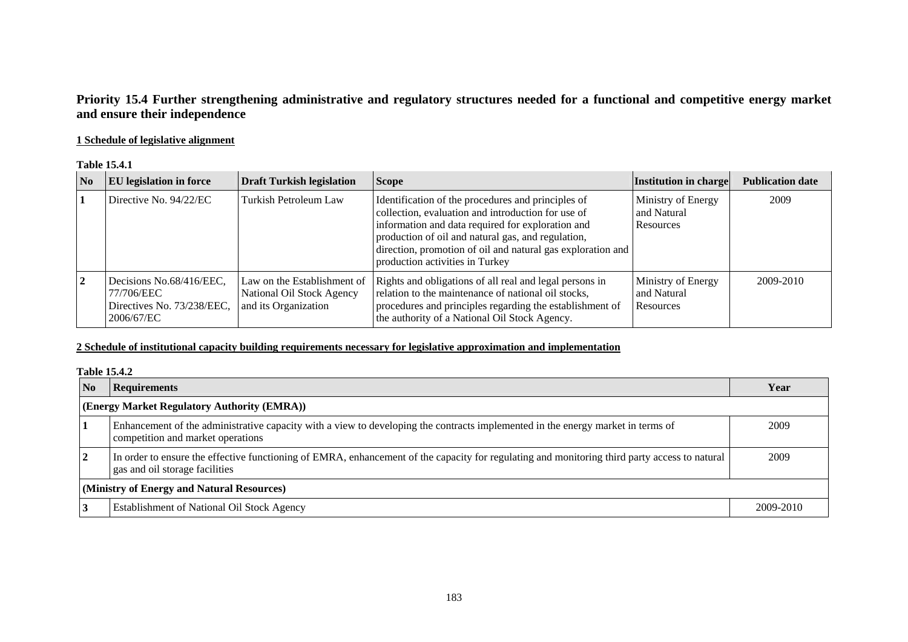## **Priority 15.4 Further strengthening administrative and regulatory structures needed for a functional and competitive energy market and ensure their independence**

## **1 Schedule of legislative alignment**

#### **Table 15.4.1**

| No | <b>EU</b> legislation in force                                                     | <b>Draft Turkish legislation</b>                                                 | <b>Scope</b>                                                                                                                                                                                                                                                                                                          | Institution in charge                          | <b>Publication date</b> |
|----|------------------------------------------------------------------------------------|----------------------------------------------------------------------------------|-----------------------------------------------------------------------------------------------------------------------------------------------------------------------------------------------------------------------------------------------------------------------------------------------------------------------|------------------------------------------------|-------------------------|
|    | Directive No. 94/22/EC                                                             | Turkish Petroleum Law                                                            | Identification of the procedures and principles of<br>collection, evaluation and introduction for use of<br>information and data required for exploration and<br>production of oil and natural gas, and regulation,<br>direction, promotion of oil and natural gas exploration and<br>production activities in Turkey | Ministry of Energy<br>and Natural<br>Resources | 2009                    |
|    | Decisions No.68/416/EEC,<br>77/706/EEC<br>Directives No. 73/238/EEC,<br>2006/67/EC | Law on the Establishment of<br>National Oil Stock Agency<br>and its Organization | Rights and obligations of all real and legal persons in<br>relation to the maintenance of national oil stocks,<br>procedures and principles regarding the establishment of<br>the authority of a National Oil Stock Agency.                                                                                           | Ministry of Energy<br>and Natural<br>Resources | 2009-2010               |

## **2 Schedule of institutional capacity building requirements necessary for legislative approximation and implementation**

#### **Table 15.4.2**

| No                                         | <b>Requirements</b>                                                                                                                                                             | Year      |  |  |  |  |
|--------------------------------------------|---------------------------------------------------------------------------------------------------------------------------------------------------------------------------------|-----------|--|--|--|--|
|                                            | (Energy Market Regulatory Authority (EMRA))                                                                                                                                     |           |  |  |  |  |
|                                            | Enhancement of the administrative capacity with a view to developing the contracts implemented in the energy market in terms of<br>competition and market operations            | 2009      |  |  |  |  |
| $\vert 2 \vert$                            | In order to ensure the effective functioning of EMRA, enhancement of the capacity for regulating and monitoring third party access to natural<br>gas and oil storage facilities | 2009      |  |  |  |  |
| (Ministry of Energy and Natural Resources) |                                                                                                                                                                                 |           |  |  |  |  |
|                                            | <b>Establishment of National Oil Stock Agency</b>                                                                                                                               | 2009-2010 |  |  |  |  |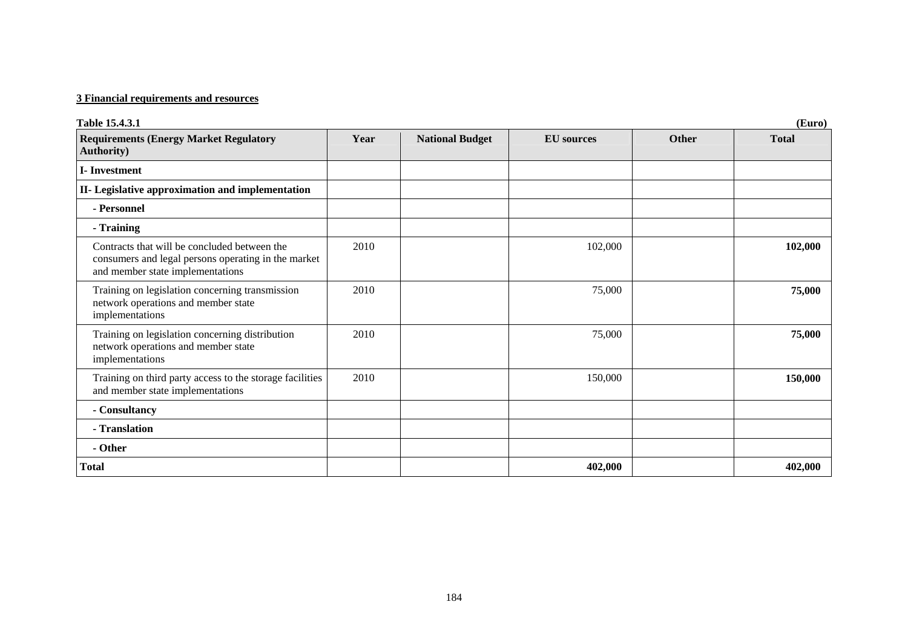## **3 Financial requirements and resources**

| Table 15.4.3.1                                                                                                                          |      |                        |                   |       | (Euro)       |
|-----------------------------------------------------------------------------------------------------------------------------------------|------|------------------------|-------------------|-------|--------------|
| <b>Requirements (Energy Market Regulatory</b><br><b>Authority</b> )                                                                     | Year | <b>National Budget</b> | <b>EU</b> sources | Other | <b>Total</b> |
| <b>I-Investment</b>                                                                                                                     |      |                        |                   |       |              |
| II- Legislative approximation and implementation                                                                                        |      |                        |                   |       |              |
| - Personnel                                                                                                                             |      |                        |                   |       |              |
| - Training                                                                                                                              |      |                        |                   |       |              |
| Contracts that will be concluded between the<br>consumers and legal persons operating in the market<br>and member state implementations | 2010 |                        | 102,000           |       | 102,000      |
| Training on legislation concerning transmission<br>network operations and member state<br>implementations                               | 2010 |                        | 75,000            |       | 75,000       |
| Training on legislation concerning distribution<br>network operations and member state<br>implementations                               | 2010 |                        | 75,000            |       | 75,000       |
| Training on third party access to the storage facilities<br>and member state implementations                                            | 2010 |                        | 150,000           |       | 150,000      |
| - Consultancy                                                                                                                           |      |                        |                   |       |              |
| - Translation                                                                                                                           |      |                        |                   |       |              |
| - Other                                                                                                                                 |      |                        |                   |       |              |
| <b>Total</b>                                                                                                                            |      |                        | 402,000           |       | 402,000      |